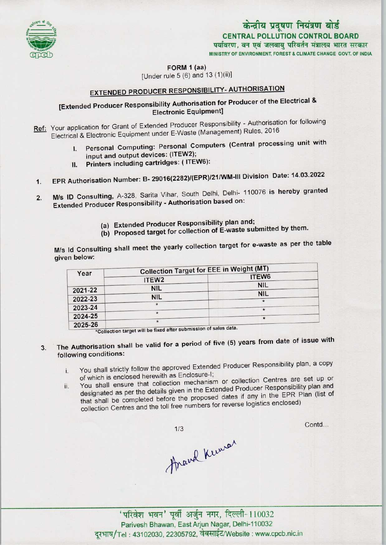

## MINISTRY OF ENVIRONMENT, FOREST & CLIMATE CHANGE GOVT, OF INDIA CENTRAL POLLUTION CONTROL BOARD<br>पर्यावरण, वन एवं जलवायु परिवर्तन मंत्रालय भारत सरकार केन्द्रीय प्रदूषण नियंत्रण बोर्ड

FORM 1 (aa)

[Under rule 5 (6) and 13 (1){ii)]

# EXTENDED PRODUCER RESPONSIBILITY-AUTHORISATION

### [Extended Producer Responsibility Authorisation for Producer of the Electrical & Electronic Equipment]

Ref: Your application for Grant of Extended Producer Responsibility - Authorisation for following Electrical & Electronic Equipment under E-Waste (Management) Rules, 2016

- I. Personal Computing: Personal Computers (Central processing unit with input and output devices: (ITEW2);
- II. Printers including cartridges: (ITEW6):
- 1.EPR Authorisation Number: B-29016(2282)/(EPR)/21/WM-lll Division Date: 14.03.2022
- 2. M/s ID Consulting, A-328, Sarita Vihar, South Delhi, Delhi- 110076 is hereby granted Extended Producer Responsibility - Authorisation based on:
	- (a) Extended Producer Responsibility plan and;
	- (b) Proposed target for collection of E-waste submitted by them.

M/s Id Consulting shall meet the yearly collection target for e-waste as per the table given below:

| Year    | <b>Collection Target for EEE in Weight (MT)</b> |            |
|---------|-------------------------------------------------|------------|
|         | ITEW <sub>2</sub>                               | ITEW6      |
| 2021-22 | <b>NIL</b>                                      | <b>NIL</b> |
| 2022-23 | <b>NIL</b>                                      | <b>NIL</b> |
| 2023-24 |                                                 |            |
| 2024-25 |                                                 | $\star$    |
| 2025-26 |                                                 | $\ast$     |

 $\frac{1}{2}$  Collection target will be fixed after submission of sales data.

- 3. The Authorisation shall be valid for a period of five (5) years from date of issue with following conditions:
	- i. You shall strictly follow the approved Extended Producer Responsibility plan, <sup>a</sup> copy of which is enclosed herewith as Enclosure-I;
	- ii. You shall ensure that collection mechanism or collection Centres are set up or You shall ensure that collection mechanism or collection Semine producer Responsibility plan and the completed as per the details given in the Extended Producer Responsibility plan and that shall be completed before the proposed dates if any in the EPR Plan (list of collection Centres and the toll free numbers for reverse logistics enclosed)

 $1/3$ Arand Kumar Contd...

'परिवेश भवन' पूर्वी अर्जुन नगर, दिल्ली-110032 Parivesh Bhawan, EastArjun Nagar, Delhi-110032 दूरभाष/Tel: 43102030, 22305792, वेबसाईट/Website: www.cpcb.nic.in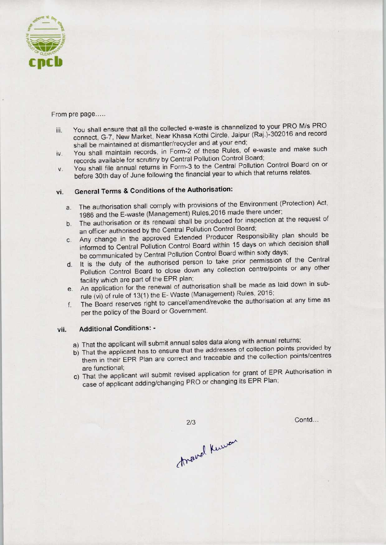

From pre page.....

- iii. You shall ensure that all the collected e-waste is channelized to your PRO M/s PRO connect, G-7, New Market, Near Khasa Kothi Circle, Jaipur (Raj.)-302016 and record shall be maintained at dismantler/recycler and at your end;
- iv. You shall maintain records, in Form-2 of these Rules, of e-waste and make such records available for scrutiny by Central Pollution Control Board;
- v. You shall file annual returns in Form-3 to the Central Pollution Control Board on or before 30th day of June following the financial year to which that returns relates.

## vi. General Terms & Conditions of the Authorisation:

- a. The authorisation shall comply with provisions of the Environment (Protection) Act, 1986 and the E-waste (Management) Rules.2016 made there under;
- b.The authorisation or its renewal shall be produced for inspection at the request of an officer authorised by the Central Pollution Control Board;
- c.Any change in the approved Extended Producer Responsibility plan should be informed to Central Pollution Control Board within 15 days on which decision shall be communicated by Central Pollution Control Board within sixty days;
- d. It is the duty of the authorised person to take prior permission of the Central Pollution Control Board to close down any collection centre/points or any other facility which are part of the EPR plan;
- e.An application for the renewal of authorisation shall be made as laid down in subrule (vi) of rule of 13(1) the E- Waste (Management) Rules, 2016;
- f.The Board reserves right to cancel/amend/revoke the authorisation at any time as perthe policy of the Board or Government.

#### vii. Additional Conditions: -

- a) That the applicant will submit annual sales data along with annual returns;
- b) That the applicant has to ensure that the addresses of collection points provided by them in their EPR Plan are correct and traceable and the collection points/centres are functional;
- c) That the applicant will submit revised application for grant of EPR Authorisation in case of applicant adding/changing PRO or changing its EPR Plan;

travel Kuwan

 $2/3$ 

Contd...